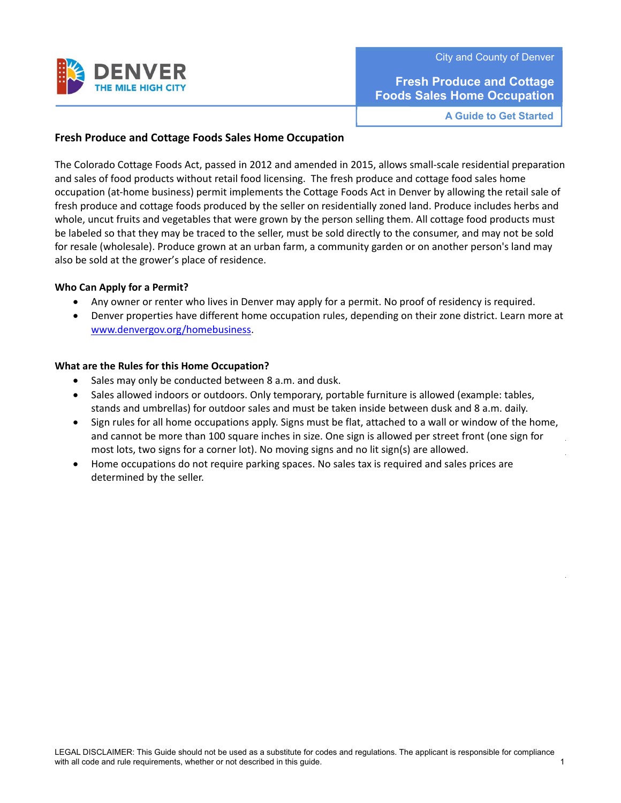

**Fresh Produce and Cottage Foods Sales Home Occupation** 

**A Guide to Get Started** 

### **Fresh Produce and Cottage Foods Sales Home Occupation**

The Colorado Cottage Foods Act, passed in 2012 and amended in 2015, allows small-scale residential preparation and sales of food products without retail food licensing. The fresh produce and cottage food sales home occupation (at-home business) permit implements the Cottage Foods Act in Denver by allowing the retail sale of fresh produce and cottage foods produced by the seller on residentially zoned land. Produce includes herbs and whole, uncut fruits and vegetables that were grown by the person selling them. All cottage food products must be labeled so that they may be traced to the seller, must be sold directly to the consumer, and may not be sold for resale (wholesale). Produce grown at an urban farm, a community garden or on another person's land may also be sold at the grower's place of residence.

### **Who Can Apply for a Permit?**

- Any owner or renter who lives in Denver may apply for a permit. No proof of residency is required.
- Denver properties have different home occupation rules, depending on their zone district. Learn more at www.denvergov.org/homebusiness.

### **What are the Rules for this Home Occupation?**

- Sales may only be conducted between 8 a.m. and dusk.
- Sales allowed indoors or outdoors. Only temporary, portable furniture is allowed (example: tables, stands and umbrellas) for outdoor sales and must be taken inside between dusk and 8 a.m. daily.
- Sign rules for all home occupations apply. Signs must be flat, attached to a wall or window of the home, and cannot be more than 100 square inches in size. One sign is allowed per street front (one sign for most lots, two signs for a corner lot). No moving signs and no lit sign(s) are allowed.
- Home occupations do not require parking spaces. No sales tax is required and sales prices are determined by the seller.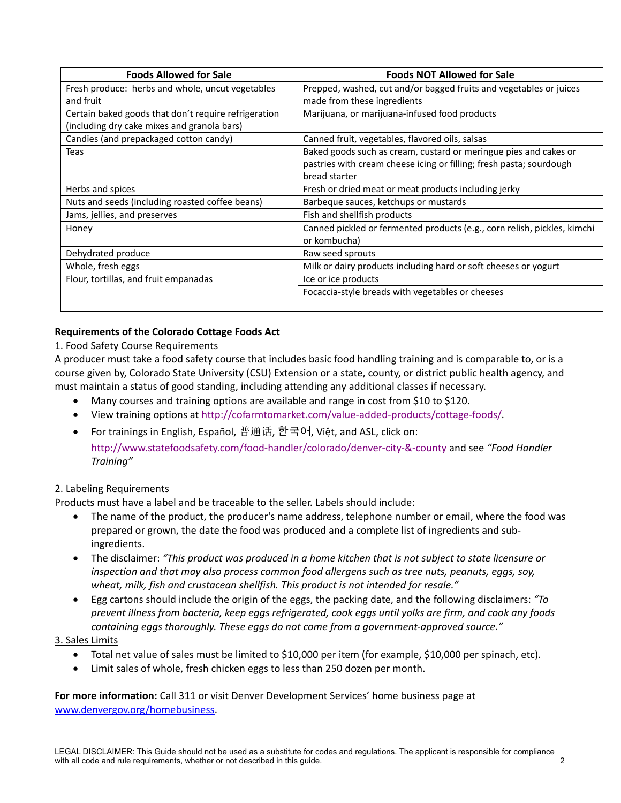| <b>Foods Allowed for Sale</b>                        | <b>Foods NOT Allowed for Sale</b>                                        |
|------------------------------------------------------|--------------------------------------------------------------------------|
| Fresh produce: herbs and whole, uncut vegetables     | Prepped, washed, cut and/or bagged fruits and vegetables or juices       |
| and fruit                                            | made from these ingredients                                              |
| Certain baked goods that don't require refrigeration | Marijuana, or marijuana-infused food products                            |
| (including dry cake mixes and granola bars)          |                                                                          |
| Candies (and prepackaged cotton candy)               | Canned fruit, vegetables, flavored oils, salsas                          |
| Teas                                                 | Baked goods such as cream, custard or meringue pies and cakes or         |
|                                                      | pastries with cream cheese icing or filling; fresh pasta; sourdough      |
|                                                      | bread starter                                                            |
| Herbs and spices                                     | Fresh or dried meat or meat products including jerky                     |
| Nuts and seeds (including roasted coffee beans)      | Barbeque sauces, ketchups or mustards                                    |
| Jams, jellies, and preserves                         | Fish and shellfish products                                              |
| Honey                                                | Canned pickled or fermented products (e.g., corn relish, pickles, kimchi |
|                                                      | or kombucha)                                                             |
| Dehydrated produce                                   | Raw seed sprouts                                                         |
| Whole, fresh eggs                                    | Milk or dairy products including hard or soft cheeses or yogurt          |
| Flour, tortillas, and fruit empanadas                | Ice or ice products                                                      |
|                                                      | Focaccia-style breads with vegetables or cheeses                         |
|                                                      |                                                                          |

# **Requirements of the Colorado Cottage Foods Act**

## 1. Food Safety Course Requirements

A producer must take a food safety course that includes basic food handling training and is comparable to, or is a course given by, Colorado State University (CSU) Extension or a state, county, or district public health agency, and must maintain a status of good standing, including attending any additional classes if necessary.

- Many courses and training options are available and range in cost from \$10 to \$120.
- View training options at http://cofarmtomarket.com/value-added-products/cottage-foods/*.*
- For trainings in English, Español, 普通话, 한국어, Việt, and ASL, click on: http://www.statefoodsafety.com/food-handler/colorado/denver-city-&-county and see *"Food Handler Training"*

## 2. Labeling Requirements

Products must have a label and be traceable to the seller. Labels should include:

- The name of the product, the producer's name address, telephone number or email, where the food was prepared or grown, the date the food was produced and a complete list of ingredients and subingredients.
- The disclaimer: *"This product was produced in a home kitchen that is not subject to state licensure or inspection and that may also process common food allergens such as tree nuts, peanuts, eggs, soy, wheat, milk, fish and crustacean shellfish. This product is not intended for resale."*
- Egg cartons should include the origin of the eggs, the packing date, and the following disclaimers: *"To prevent illness from bacteria, keep eggs refrigerated, cook eggs until yolks are firm, and cook any foods containing eggs thoroughly. These eggs do not come from a government‐approved source."*

## 3. Sales Limits

- Total net value of sales must be limited to \$10,000 per item (for example, \$10,000 per spinach, etc).
- Limit sales of whole, fresh chicken eggs to less than 250 dozen per month.

**For more information:** Call 311 or visit Denver Development Services' home business page at www.denvergov.org/homebusiness.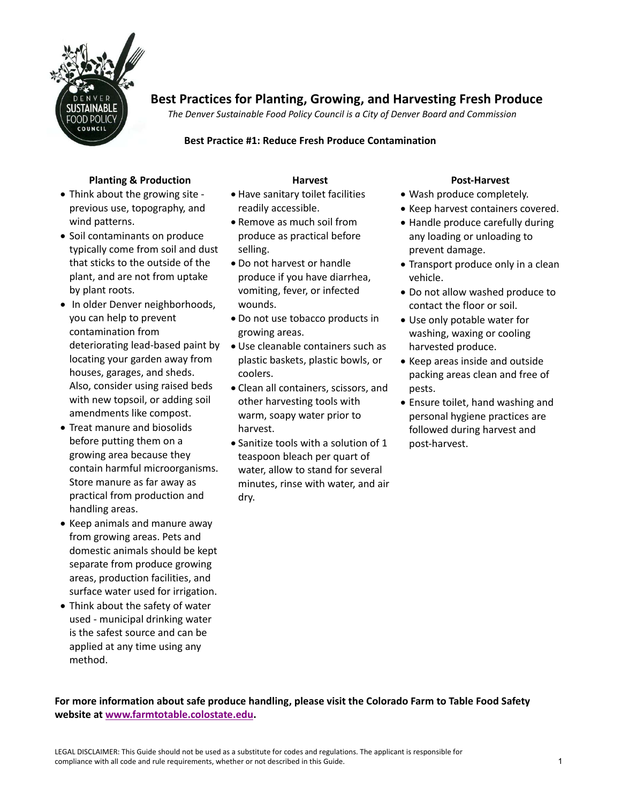

# **Best Practices for Planting, Growing, and Harvesting Fresh Produce**

*The Denver Sustainable Food Policy Council is a City of Denver Board and Commission* 

### **Best Practice #1: Reduce Fresh Produce Contamination**

## **Planting & Production**

- Think about the growing site previous use, topography, and wind patterns.
- Soil contaminants on produce typically come from soil and dust that sticks to the outside of the plant, and are not from uptake by plant roots.
- In older Denver neighborhoods, you can help to prevent contamination from deteriorating lead-based paint by locating your garden away from houses, garages, and sheds. Also, consider using raised beds with new topsoil, or adding soil amendments like compost.
- Treat manure and biosolids before putting them on a growing area because they contain harmful microorganisms. Store manure as far away as practical from production and handling areas.
- Keep animals and manure away from growing areas. Pets and domestic animals should be kept separate from produce growing areas, production facilities, and surface water used for irrigation.
- Think about the safety of water used - municipal drinking water is the safest source and can be applied at any time using any method.

# **Harvest**

- Have sanitary toilet facilities readily accessible.
- Remove as much soil from produce as practical before selling.
- Do not harvest or handle produce if you have diarrhea, vomiting, fever, or infected wounds.
- Do not use tobacco products in growing areas.
- Use cleanable containers such as plastic baskets, plastic bowls, or coolers.
- Clean all containers, scissors, and other harvesting tools with warm, soapy water prior to harvest.
- Sanitize tools with a solution of 1 teaspoon bleach per quart of water, allow to stand for several minutes, rinse with water, and air dry.

### **Post‐Harvest**

- Wash produce completely.
- Keep harvest containers covered.
- Handle produce carefully during any loading or unloading to prevent damage.
- Transport produce only in a clean vehicle.
- Do not allow washed produce to contact the floor or soil.
- Use only potable water for washing, waxing or cooling harvested produce.
- Keep areas inside and outside packing areas clean and free of pests.
- Ensure toilet, hand washing and personal hygiene practices are followed during harvest and post-harvest.

**For more information about safe produce handling, please visit the Colorado Farm to Table Food Safety website at www.farmtotable.colostate.edu.**